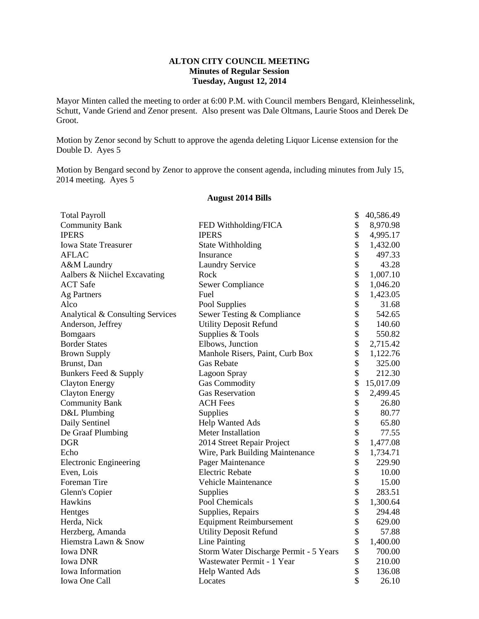# **ALTON CITY COUNCIL MEETING Minutes of Regular Session Tuesday, August 12, 2014**

Mayor Minten called the meeting to order at 6:00 P.M. with Council members Bengard, Kleinhesselink, Schutt, Vande Griend and Zenor present. Also present was Dale Oltmans, Laurie Stoos and Derek De Groot.

Motion by Zenor second by Schutt to approve the agenda deleting Liquor License extension for the Double D. Ayes 5

Motion by Bengard second by Zenor to approve the consent agenda, including minutes from July 15, 2014 meeting. Ayes 5

| <b>Total Payroll</b>             |                                        | \$       | 40,586.49 |
|----------------------------------|----------------------------------------|----------|-----------|
| <b>Community Bank</b>            | FED Withholding/FICA                   | \$       | 8,970.98  |
| <b>IPERS</b>                     | <b>IPERS</b>                           |          | 4,995.17  |
| <b>Iowa State Treasurer</b>      | <b>State Withholding</b>               |          | 1,432.00  |
| <b>AFLAC</b>                     | Insurance                              |          | 497.33    |
| A&M Laundry                      | <b>Laundry Service</b>                 | \$<br>\$ | 43.28     |
| Aalbers & Niichel Excavating     | Rock                                   |          | 1,007.10  |
| <b>ACT</b> Safe                  | Sewer Compliance                       |          | 1,046.20  |
| <b>Ag Partners</b>               | Fuel                                   |          | 1,423.05  |
| Alco                             | Pool Supplies                          |          | 31.68     |
| Analytical & Consulting Services | Sewer Testing & Compliance             | \$<br>\$ | 542.65    |
| Anderson, Jeffrey                | <b>Utility Deposit Refund</b>          | \$       | 140.60    |
| <b>Bomgaars</b>                  | Supplies & Tools                       | \$       | 550.82    |
| <b>Border States</b>             | Elbows, Junction                       | \$       | 2,715.42  |
| <b>Brown Supply</b>              | Manhole Risers, Paint, Curb Box        | \$       | 1,122.76  |
| Brunst, Dan                      | <b>Gas Rebate</b>                      | \$       | 325.00    |
| Bunkers Feed & Supply            | Lagoon Spray                           | \$       | 212.30    |
| <b>Clayton Energy</b>            | <b>Gas Commodity</b>                   | \$       | 15,017.09 |
| <b>Clayton Energy</b>            | <b>Gas Reservation</b>                 | \$       | 2,499.45  |
| <b>Community Bank</b>            | <b>ACH Fees</b>                        | \$       | 26.80     |
| D&L Plumbing                     | Supplies                               | \$       | 80.77     |
| Daily Sentinel                   | <b>Help Wanted Ads</b>                 | \$       | 65.80     |
| De Graaf Plumbing                | Meter Installation                     | \$       | 77.55     |
| <b>DGR</b>                       | 2014 Street Repair Project             | \$       | 1,477.08  |
| Echo                             | Wire, Park Building Maintenance        | \$       | 1,734.71  |
| <b>Electronic Engineering</b>    | Pager Maintenance                      | \$       | 229.90    |
| Even, Lois                       | <b>Electric Rebate</b>                 | \$       | 10.00     |
| Foreman Tire                     | <b>Vehicle Maintenance</b>             | \$       | 15.00     |
| Glenn's Copier                   | Supplies                               | \$       | 283.51    |
| Hawkins                          | Pool Chemicals                         | \$       | 1,300.64  |
| Hentges                          | Supplies, Repairs                      | \$       | 294.48    |
| Herda, Nick                      | <b>Equipment Reimbursement</b>         | \$       | 629.00    |
| Herzberg, Amanda                 | <b>Utility Deposit Refund</b>          | \$       | 57.88     |
| Hiemstra Lawn & Snow             | Line Painting                          | \$       | 1,400.00  |
| <b>Iowa DNR</b>                  | Storm Water Discharge Permit - 5 Years | \$       | 700.00    |
| <b>Iowa DNR</b>                  | Wastewater Permit - 1 Year             | \$       | 210.00    |
| Iowa Information                 | <b>Help Wanted Ads</b>                 | \$       | 136.08    |
| Iowa One Call                    | Locates                                | \$       | 26.10     |

#### **August 2014 Bills**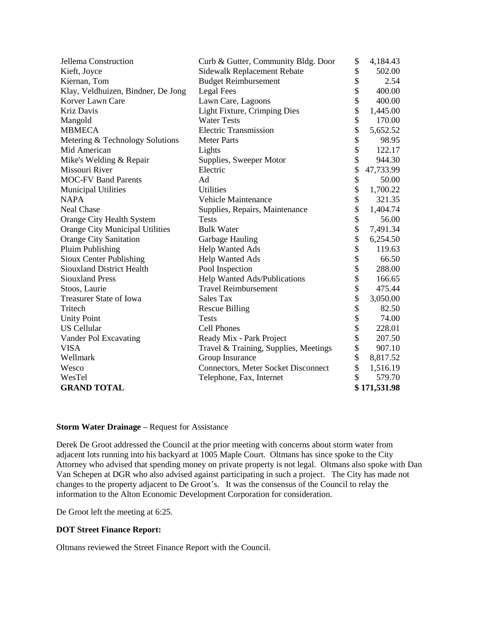| Jellema Construction               | Curb & Gutter, Community Bldg. Door        | \$ | 4,184.43     |
|------------------------------------|--------------------------------------------|----|--------------|
| Kieft, Joyce                       | Sidewalk Replacement Rebate                |    | 502.00       |
| Kiernan, Tom                       | <b>Budget Reimbursement</b>                |    | 2.54         |
| Klay, Veldhuizen, Bindner, De Jong | Legal Fees                                 |    | 400.00       |
| Korver Lawn Care                   | Lawn Care, Lagoons                         |    | 400.00       |
| <b>Kriz Davis</b>                  | Light Fixture, Crimping Dies               |    | 1,445.00     |
| Mangold                            | <b>Water Tests</b>                         |    | 170.00       |
| <b>MBMECA</b>                      | <b>Electric Transmission</b>               | \$ | 5,652.52     |
| Metering & Technology Solutions    | <b>Meter Parts</b>                         | \$ | 98.95        |
| Mid American                       | Lights                                     | \$ | 122.17       |
| Mike's Welding & Repair            | Supplies, Sweeper Motor                    | \$ | 944.30       |
| Missouri River                     | Electric                                   | \$ | 47,733.99    |
| <b>MOC-FV Band Parents</b>         | Ad                                         | \$ | 50.00        |
| <b>Municipal Utilities</b>         | <b>Utilities</b>                           | \$ | 1,700.22     |
| <b>NAPA</b>                        | <b>Vehicle Maintenance</b>                 | \$ | 321.35       |
| <b>Neal Chase</b>                  | Supplies, Repairs, Maintenance             | \$ | 1,404.74     |
| Orange City Health System          | <b>Tests</b>                               | \$ | 56.00        |
| Orange City Municipal Utilities    | <b>Bulk Water</b>                          | \$ | 7,491.34     |
| <b>Orange City Sanitation</b>      | Garbage Hauling                            | \$ | 6,254.50     |
| <b>Pluim Publishing</b>            | <b>Help Wanted Ads</b>                     | \$ | 119.63       |
| Sioux Center Publishing            | <b>Help Wanted Ads</b>                     | \$ | 66.50        |
| <b>Siouxland District Health</b>   | Pool Inspection                            | \$ | 288.00       |
| <b>Siouxland Press</b>             | Help Wanted Ads/Publications               | \$ | 166.65       |
| Stoos, Laurie                      | <b>Travel Reimbursement</b>                | \$ | 475.44       |
| Treasurer State of Iowa            | Sales Tax                                  | \$ | 3,050.00     |
| Tritech                            | <b>Rescue Billing</b>                      | \$ | 82.50        |
| <b>Unity Point</b>                 | <b>Tests</b>                               | \$ | 74.00        |
| <b>US Cellular</b>                 | <b>Cell Phones</b>                         | \$ | 228.01       |
| Vander Pol Excavating              | Ready Mix - Park Project                   | \$ | 207.50       |
| <b>VISA</b>                        | Travel & Training, Supplies, Meetings      | \$ | 907.10       |
| Wellmark                           | Group Insurance                            | \$ | 8,817.52     |
| Wesco                              | <b>Connectors, Meter Socket Disconnect</b> | \$ | 1,516.19     |
| WesTel                             | Telephone, Fax, Internet                   | \$ | 579.70       |
| <b>GRAND TOTAL</b>                 |                                            |    | \$171,531.98 |

### **Storm Water Drainage –** Request for Assistance

Derek De Groot addressed the Council at the prior meeting with concerns about storm water from adjacent lots running into his backyard at 1005 Maple Court. Oltmans has since spoke to the City Attorney who advised that spending money on private property is not legal. Oltmans also spoke with Dan Van Schepen at DGR who also advised against participating in such a project. The City has made not changes to the property adjacent to De Groot's. It was the consensus of the Council to relay the information to the Alton Economic Development Corporation for consideration.

De Groot left the meeting at 6:25.

# **DOT Street Finance Report:**

Oltmans reviewed the Street Finance Report with the Council.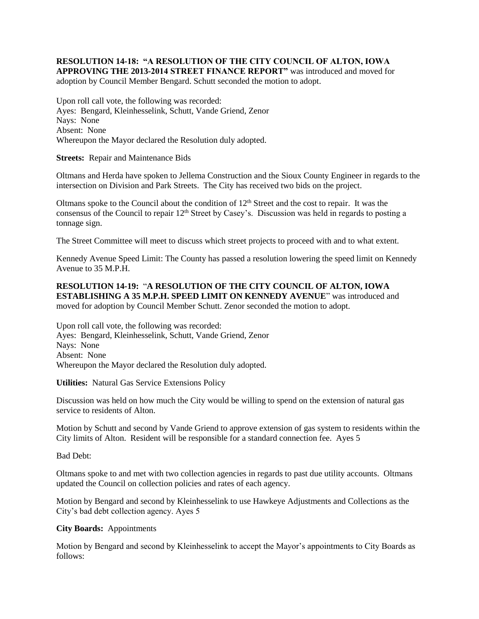### **RESOLUTION 14-18: "A RESOLUTION OF THE CITY COUNCIL OF ALTON, IOWA APPROVING THE 2013-2014 STREET FINANCE REPORT"** was introduced and moved for adoption by Council Member Bengard. Schutt seconded the motion to adopt.

Upon roll call vote, the following was recorded: Ayes: Bengard, Kleinhesselink, Schutt, Vande Griend, Zenor Nays: None Absent: None Whereupon the Mayor declared the Resolution duly adopted.

**Streets:** Repair and Maintenance Bids

Oltmans and Herda have spoken to Jellema Construction and the Sioux County Engineer in regards to the intersection on Division and Park Streets. The City has received two bids on the project.

Oltmans spoke to the Council about the condition of  $12<sup>th</sup>$  Street and the cost to repair. It was the consensus of the Council to repair 12<sup>th</sup> Street by Casey's. Discussion was held in regards to posting a tonnage sign.

The Street Committee will meet to discuss which street projects to proceed with and to what extent.

Kennedy Avenue Speed Limit: The County has passed a resolution lowering the speed limit on Kennedy Avenue to 35 M.P.H.

# **RESOLUTION 14-19:** "**A RESOLUTION OF THE CITY COUNCIL OF ALTON, IOWA ESTABLISHING A 35 M.P.H. SPEED LIMIT ON KENNEDY AVENUE**" was introduced and moved for adoption by Council Member Schutt. Zenor seconded the motion to adopt.

Upon roll call vote, the following was recorded: Ayes: Bengard, Kleinhesselink, Schutt, Vande Griend, Zenor Nays: None Absent: None Whereupon the Mayor declared the Resolution duly adopted.

**Utilities:** Natural Gas Service Extensions Policy

Discussion was held on how much the City would be willing to spend on the extension of natural gas service to residents of Alton.

Motion by Schutt and second by Vande Griend to approve extension of gas system to residents within the City limits of Alton. Resident will be responsible for a standard connection fee. Ayes 5

Bad Debt:

Oltmans spoke to and met with two collection agencies in regards to past due utility accounts. Oltmans updated the Council on collection policies and rates of each agency.

Motion by Bengard and second by Kleinhesselink to use Hawkeye Adjustments and Collections as the City's bad debt collection agency. Ayes 5

# **City Boards:** Appointments

Motion by Bengard and second by Kleinhesselink to accept the Mayor's appointments to City Boards as follows: